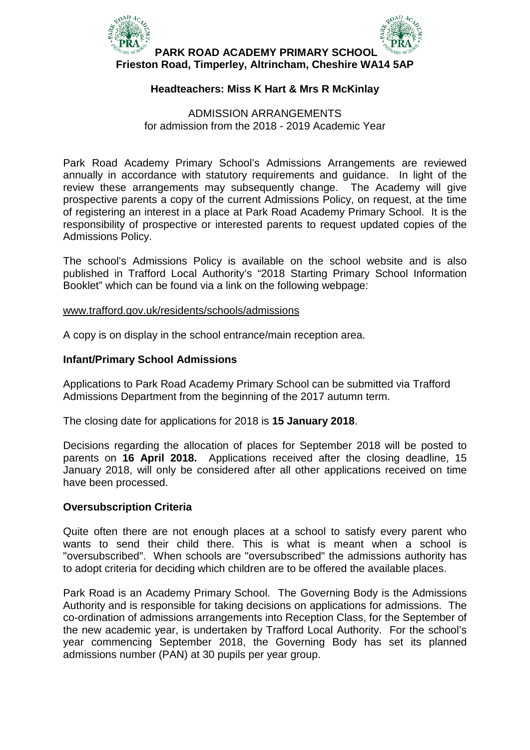

# **Headteachers: Miss K Hart & Mrs R McKinlay**

## ADMISSION ARRANGEMENTS for admission from the 2018 - 2019 Academic Year

Park Road Academy Primary School's Admissions Arrangements are reviewed annually in accordance with statutory requirements and guidance. In light of the review these arrangements may subsequently change. The Academy will give prospective parents a copy of the current Admissions Policy, on request, at the time of registering an interest in a place at Park Road Academy Primary School. It is the responsibility of prospective or interested parents to request updated copies of the Admissions Policy.

The school's Admissions Policy is available on the school website and is also published in Trafford Local Authority's "2018 [Starting Primary School Information](http://www.trafford.gov.uk/residents/schools/admissions/docs/2016-starting-primary-school-oct.pdf)  [Booklet"](http://www.trafford.gov.uk/residents/schools/admissions/docs/2016-starting-primary-school-oct.pdf) which can be found via a link on the following webpage:

#### [www.trafford.gov.uk/residents/schools/admissions](http://www.trafford.gov.uk/residents/schools/admissions)

A copy is on display in the school entrance/main reception area.

## **Infant/Primary School Admissions**

Applications to Park Road Academy Primary School can be submitted via Trafford Admissions Department from the beginning of the 2017 autumn term.

The closing date for applications for 2018 is **15 January 2018**.

Decisions regarding the allocation of places for September 2018 will be posted to parents on **16 April 2018.** Applications received after the closing deadline, 15 January 2018, will only be considered after all other applications received on time have been processed.

# **Oversubscription Criteria**

Quite often there are not enough places at a school to satisfy every parent who wants to send their child there. This is what is meant when a school is "oversubscribed". When schools are "oversubscribed" the admissions authority has to adopt criteria for deciding which children are to be offered the available places.

Park Road is an Academy Primary School. The Governing Body is the Admissions Authority and is responsible for taking decisions on applications for admissions. The co-ordination of admissions arrangements into Reception Class, for the September of the new academic year, is undertaken by Trafford Local Authority. For the school's year commencing September 2018, the Governing Body has set its planned admissions number (PAN) at 30 pupils per year group.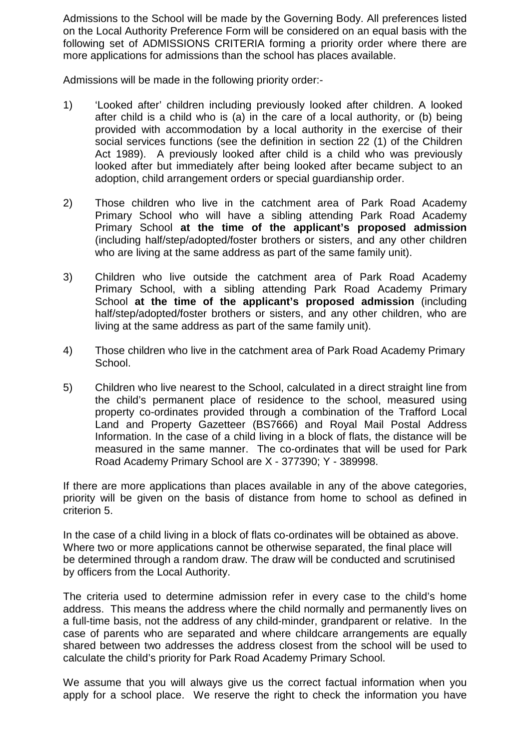Admissions to the School will be made by the Governing Body. All preferences listed on the Local Authority Preference Form will be considered on an equal basis with the following set of ADMISSIONS CRITERIA forming a priority order where there are more applications for admissions than the school has places available.

Admissions will be made in the following priority order:-

- 1) 'Looked after' children including previously looked after children. A looked after child is a child who is (a) in the care of a local authority, or (b) being provided with accommodation by a local authority in the exercise of their social services functions (see the definition in section 22 (1) of the Children Act 1989). A previously looked after child is a child who was previously looked after but immediately after being looked after became subject to an adoption, child arrangement orders or special guardianship order.
- 2) Those children who live in the catchment area of Park Road Academy Primary School who will have a sibling attending Park Road Academy Primary School **at the time of the applicant's proposed admission** (including half/step/adopted/foster brothers or sisters, and any other children who are living at the same address as part of the same family unit).
- 3) Children who live outside the catchment area of Park Road Academy Primary School, with a sibling attending Park Road Academy Primary School **at the time of the applicant's proposed admission** (including half/step/adopted/foster brothers or sisters, and any other children, who are living at the same address as part of the same family unit).
- 4) Those children who live in the catchment area of Park Road Academy Primary School.
- 5) Children who live nearest to the School, calculated in a direct straight line from the child's permanent place of residence to the school, measured using property co-ordinates provided through a combination of the Trafford Local Land and Property Gazetteer (BS7666) and Royal Mail Postal Address Information. In the case of a child living in a block of flats, the distance will be measured in the same manner. The co-ordinates that will be used for Park Road Academy Primary School are X - 377390; Y - 389998.

If there are more applications than places available in any of the above categories, priority will be given on the basis of distance from home to school as defined in criterion 5.

In the case of a child living in a block of flats co-ordinates will be obtained as above. Where two or more applications cannot be otherwise separated, the final place will be determined through a random draw. The draw will be conducted and scrutinised by officers from the Local Authority.

The criteria used to determine admission refer in every case to the child's home address. This means the address where the child normally and permanently lives on a full-time basis, not the address of any child-minder, grandparent or relative. In the case of parents who are separated and where childcare arrangements are equally shared between two addresses the address closest from the school will be used to calculate the child's priority for Park Road Academy Primary School.

We assume that you will always give us the correct factual information when you apply for a school place. We reserve the right to check the information you have